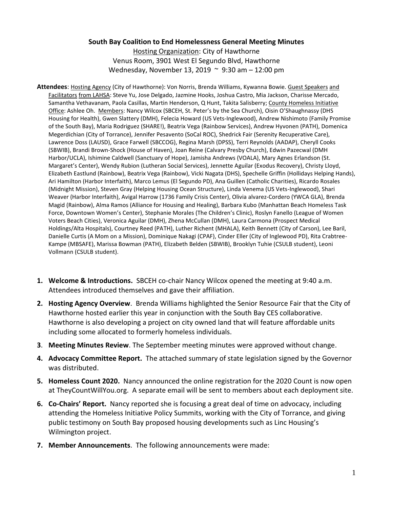## **South Bay Coalition to End Homelessness General Meeting Minutes**

Hosting Organization: City of Hawthorne Venus Room, 3901 West El Segundo Blvd, Hawthorne Wednesday, November 13, 2019 ~ 9:30 am – 12:00 pm

- **Attendees**: Hosting Agency (City of Hawthorne): Von Norris, Brenda Williams, Kywanna Bowie. Guest Speakers and Facilitators from LAHSA: Steve Yu, Jose Delgado, Jazmine Hooks, Joshua Castro, Mia Jackson, Charisse Mercado, Samantha Vethavanam, Paola Casillas, Martin Henderson, Q Hunt, Takita Salisberry; County Homeless Initiative Office: Ashlee Oh. Members: Nancy Wilcox (SBCEH, St. Peter's by the Sea Church), Oisin O'Shaughnassy (DHS Housing for Health), Gwen Slattery (DMH), Felecia Howard (US Vets-Inglewood), Andrew Nishimoto (Family Promise of the South Bay), Maria Rodriguez (SHARE!), Beatrix Vega (Rainbow Services), Andrew Hyvonen (PATH), Domenica Megerdichian (City of Torrance), Jennifer Pesavento (SoCal ROC), Shedrick Fair (Serenity Recuperative Care), Lawrence Doss (LAUSD), Grace Farwell (SBCCOG), Regina Marsh (DPSS), Terri Reynolds (AADAP), Cheryll Cooks (SBWIB), Brandi Brown-Shock (House of Haven), Joan Reine (Calvary Presby Church), Edwin Pazecwal (DMH Harbor/UCLA), Ishimine Caldwell (Sanctuary of Hope), Jamisha Andrews (VOALA), Mary Agnes Erlandson (St. Margaret's Center), Wendy Rubion (Lutheran Social Services), Jennette Aguilar (Exodus Recovery), Christy Lloyd, Elizabeth Eastlund (Rainbow), Beatrix Vega (Rainbow), Vicki Nagata (DHS), Spechelle Griffin (Hollidays Helping Hands), Ari Hamilton (Harbor Interfaith), Marco Lemus (El Segundo PD), Ana Guillen (Catholic Charities), Ricardo Rosales (Midnight Mission), Steven Gray (Helping Housing Ocean Structure), Linda Venema (US Vets-Inglewood), Shari Weaver (Harbor Interfaith), Avigal Harrow (1736 Family Crisis Center), Olivia alvarez-Cordero (YWCA GLA), Brenda Magid (Rainbow), Alma Ramos (Alliance for Housing and Healing), Barbara Kubo (Manhattan Beach Homeless Task Force, Downtown Women's Center), Stephanie Morales (The Children's Clinic), Roslyn Fanello (League of Women Voters Beach Cities), Veronica Aguilar (DMH), Zhena McCullan (DMH), Laura Carmona (Prospect Medical Holdings/Alta Hospitals), Courtney Reed (PATH), Luther Richent (MHALA), Keith Bennett (City of Carson), Lee Baril, Danielle Curtis (A Mom on a Mission), Dominique Nakagi (CPAF), Cinder Eller (City of Inglewood PD), Rita Crabtree-Kampe (MBSAFE), Marissa Bowman (PATH), Elizabeth Belden (SBWIB), Brooklyn Tuhie (CSULB student), Leoni Vollmann (CSULB student).
- **1. Welcome & Introductions.** SBCEH co-chair Nancy Wilcox opened the meeting at 9:40 a.m. Attendees introduced themselves and gave their affiliation.
- **2. Hosting Agency Overview**. Brenda Williams highlighted the Senior Resource Fair that the City of Hawthorne hosted earlier this year in conjunction with the South Bay CES collaborative. Hawthorne is also developing a project on city owned land that will feature affordable units including some allocated to formerly homeless individuals.
- **3**. **Meeting Minutes Review**. The September meeting minutes were approved without change.
- **4. Advocacy Committee Report.** The attached summary of state legislation signed by the Governor was distributed.
- **5. Homeless Count 2020.** Nancy announced the online registration for the 2020 Count is now open at TheyCountWillYou.org. A separate email will be sent to members about each deployment site.
- **6. Co-Chairs' Report.** Nancy reported she is focusing a great deal of time on advocacy, including attending the Homeless Initiative Policy Summits, working with the City of Torrance, and giving public testimony on South Bay proposed housing developments such as Linc Housing's Wilmington project.
- **7. Member Announcements**. The following announcements were made: